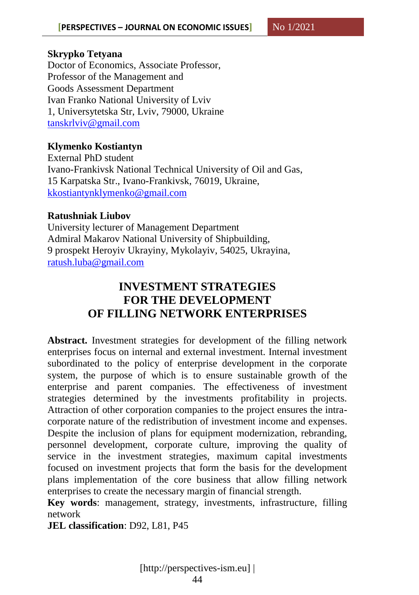#### **Skrypko Tetyana**

Doctor of Economics, Associate Professor, Professor of the Management and Goods Assessment Department Ivan Franko National University of Lviv 1, Universytetska Str, Lviv, 79000, Ukraine [tanskrlviv@gmail.com](mailto:tanskrlviv@gmail.com)

### **Klymenko Kostiantyn**

External PhD student Ivano-Frankivsk National Technical University of Oil and Gas, 15 Karpatska Str., Ivano-Frankivsk, 76019, Ukraine, [kkostiantynklymenko@gmail.com](mailto:kkostiantynklymenko@gmail.com)

### **Ratushniak Liubov**

University lecturer of Management Department Admiral Makarov National University of Shipbuilding, 9 prospekt Heroyiv Ukrayiny, Mykolayiv, 54025, Ukrayina, [ratush.luba@gmail.com](mailto:ratush.luba@gmail.com)

# **INVESTMENT STRATEGIES FOR THE DEVELOPMENT OF FILLING NETWORK ENTERPRISES**

**Abstract.** Investment strategies for development of the filling network enterprises focus on internal and external investment. Internal investment subordinated to the policy of enterprise development in the corporate system, the purpose of which is to ensure sustainable growth of the enterprise and parent companies. The effectiveness of investment strategies determined by the investments profitability in projects. Attraction of other corporation companies to the project ensures the intracorporate nature of the redistribution of investment income and expenses. Despite the inclusion of plans for equipment modernization, rebranding, personnel development, corporate culture, improving the quality of service in the investment strategies, maximum capital investments focused on investment projects that form the basis for the development plans implementation of the core business that allow filling network enterprises to create the necessary margin of financial strength.

**Key words**: management, strategy, investments, infrastructure, filling network

**JEL classification**: D92, L81, P45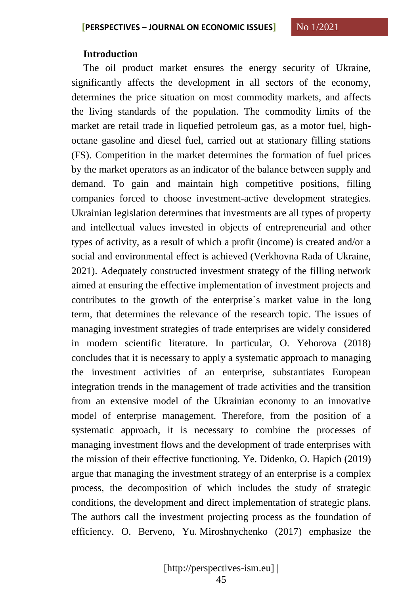#### **Introduction**

The oil product market ensures the energy security of Ukraine, significantly affects the development in all sectors of the economy, determines the price situation on most commodity markets, and affects the living standards of the population. The commodity limits of the market are retail trade in liquefied petroleum gas, as a motor fuel, highoctane gasoline and diesel fuel, carried out at stationary filling stations (FS). Competition in the market determines the formation of fuel prices by the market operators as an indicator of the balance between supply and demand. To gain and maintain high competitive positions, filling companies forced to choose investment-active development strategies. Ukrainian legislation determines that investments are all types of property and intellectual values invested in objects of entrepreneurial and other types of activity, as a result of which a profit (income) is created and/or a social and environmental effect is achieved (Verkhovna Rada of Ukraine, 2021). Adequately constructed investment strategy of the filling network aimed at ensuring the effective implementation of investment projects and contributes to the growth of the enterprise`s market value in the long term, that determines the relevance of the research topic. The issues of managing investment strategies of trade enterprises are widely considered in modern scientific literature. In particular, O. Yehorova (2018) concludes that it is necessary to apply a systematic approach to managing the investment activities of an enterprise, substantiates European integration trends in the management of trade activities and the transition from an extensive model of the Ukrainian economy to an innovative model of enterprise management. Therefore, from the position of a systematic approach, it is necessary to combine the processes of managing investment flows and the development of trade enterprises with the mission of their effective functioning. Ye. Didenko, O. Hapich (2019) argue that managing the investment strategy of an enterprise is a complex process, the decomposition of which includes the study of strategic conditions, the development and direct implementation of strategic plans. The authors call the investment projecting process as the foundation of efficiency. O. Berveno, Yu. Miroshnychenko (2017) emphasize the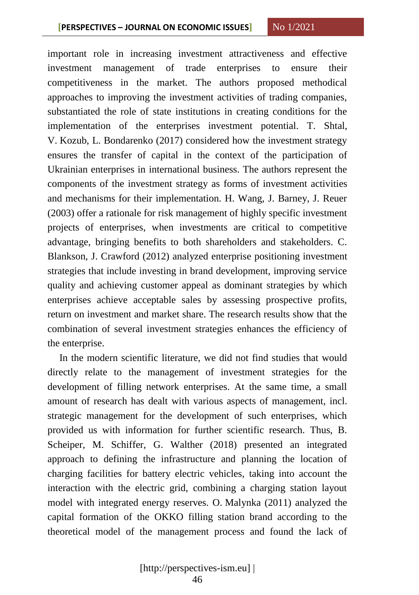important role in increasing investment attractiveness and effective investment management of trade enterprises to ensure their competitiveness in the market. The authors proposed methodical approaches to improving the investment activities of trading companies, substantiated the role of state institutions in creating conditions for the implementation of the enterprises investment potential. T. Shtal, V. Kozub, L. Bondarenko (2017) considered how the investment strategy ensures the transfer of capital in the context of the participation of Ukrainian enterprises in international business. The authors represent the components of the investment strategy as forms of investment activities and mechanisms for their implementation. H. Wang, J. Barney, J. Reuer (2003) offer a rationale for risk management of highly specific investment projects of enterprises, when investments are critical to competitive advantage, bringing benefits to both shareholders and stakeholders. C. Blankson, J. Crawford (2012) analyzed enterprise positioning investment strategies that include investing in brand development, improving service quality and achieving customer appeal as dominant strategies by which enterprises achieve acceptable sales by assessing prospective profits, return on investment and market share. The research results show that the combination of several investment strategies enhances the efficiency of the enterprise.

In the modern scientific literature, we did not find studies that would directly relate to the management of investment strategies for the development of filling network enterprises. At the same time, a small amount of research has dealt with various aspects of management, incl. strategic management for the development of such enterprises, which provided us with information for further scientific research. Thus, B. Scheiper, M. Schiffer, G. Walther (2018) presented an integrated approach to defining the infrastructure and planning the location of charging facilities for battery electric vehicles, taking into account the interaction with the electric grid, combining a charging station layout model with integrated energy reserves. O. Malynka (2011) analyzed the capital formation of the OKKO filling station brand according to the theoretical model of the management process and found the lack of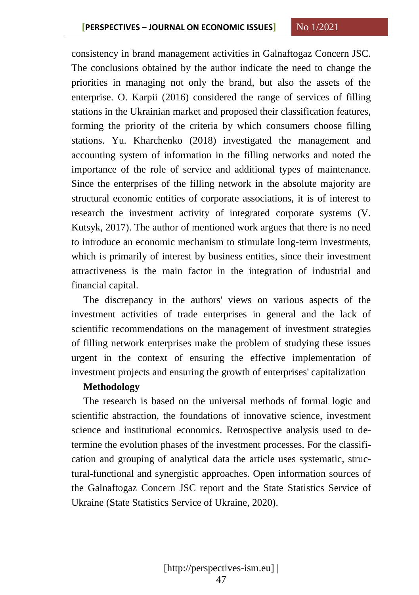consistency in brand management activities in Galnaftogaz Concern JSC. The conclusions obtained by the author indicate the need to change the priorities in managing not only the brand, but also the assets of the enterprise. O. Karpii (2016) considered the range of services of filling stations in the Ukrainian market and proposed their classification features, forming the priority of the criteria by which consumers choose filling stations. Yu. Kharchenko (2018) investigated the management and accounting system of information in the filling networks and noted the importance of the role of service and additional types of maintenance. Since the enterprises of the filling network in the absolute majority are structural economic entities of corporate associations, it is of interest to research the investment activity of integrated corporate systems (V. Kutsyk, 2017). The author of mentioned work argues that there is no need to introduce an economic mechanism to stimulate long-term investments, which is primarily of interest by business entities, since their investment attractiveness is the main factor in the integration of industrial and financial capital.

The discrepancy in the authors' views on various aspects of the investment activities of trade enterprises in general and the lack of scientific recommendations on the management of investment strategies of filling network enterprises make the problem of studying these issues urgent in the context of ensuring the effective implementation of investment projects and ensuring the growth of enterprises' capitalization

#### **Methodology**

The research is based on the universal methods of formal logic and scientific abstraction, the foundations of innovative science, investment science and institutional economics. Retrospective analysis used to determine the evolution phases of the investment processes. For the classification and grouping of analytical data the article uses systematic, structural-functional and synergistic approaches. Open information sources of the Galnaftogaz Concern JSC report and the State Statistics Service of Ukraine (State Statistics Service of Ukraine, 2020).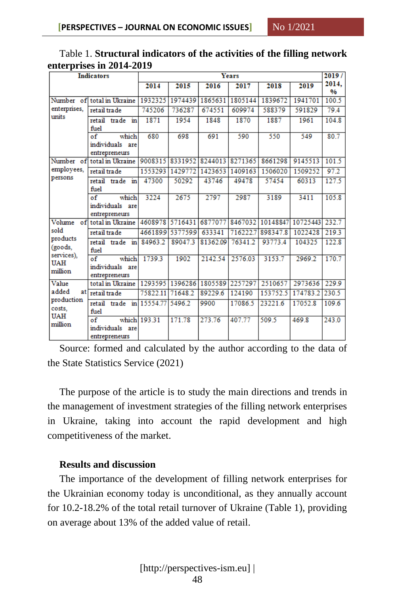| Ŧ.<br><b>Indicators</b>                                                |                                                                     | Years                   |                         |          |          |          |          |              |
|------------------------------------------------------------------------|---------------------------------------------------------------------|-------------------------|-------------------------|----------|----------|----------|----------|--------------|
|                                                                        |                                                                     | 2014                    | 2015                    | 2016     | 2017     | 2018     | 2019     | 2014.<br>0/6 |
|                                                                        | Number of total in Ukraine                                          | 1932325                 | 1974439                 | 1865631  | 1805144  | 1839672  | 1941701  | 100.5        |
| enterprises.<br>units                                                  | retail trade                                                        | 745206                  | 736287                  | 674551   | 609974   | 588379   | 591829   | 79.4         |
|                                                                        | retail trade<br>in<br>fuel                                          | 1871                    | 1954                    | 1848     | 1870     | 1887     | 1961     | 104.8        |
|                                                                        | which<br>of<br>individuals are<br>entrepreneurs                     | 680                     | 698                     | 691      | 590      | 550      | 549      | 80.7         |
|                                                                        | Number of total in Ukraine                                          | 9008315 8331952 8244013 |                         |          | 8271365  | 8661298  | 9145513  | 101.5        |
| employees,                                                             | retail trade                                                        | 1553293                 | 1429772                 | 1423653  | 1409163  | 1506020  | 1509252  | 97.2         |
| persons                                                                | retail trade<br>in<br>fuel                                          | 47300                   | 50292                   | 43746    | 49478    | 57454    | 60313    | 127.5        |
|                                                                        | $\overline{\text{of}}$<br>which<br>individuals are<br>entrepreneurs | 3224                    | 2675                    | 2797     | 2987     | 3189     | 3411     | 105.8        |
| $\circ$ f<br>Volume                                                    | total in Ukraine                                                    |                         | 4608978 5716431 6877077 |          | 8467032  | 10148847 | 10725443 | 232.7        |
| sold                                                                   | retail trade                                                        |                         | 4661899 5377599         | 633341   | 716222.7 | 898347.8 | 1022428  | 219.3        |
| products<br>(goods,<br>services),<br><b>UAH</b><br>million             | retail trade in<br>fuel                                             | 84963.2                 | 89047.3                 | 81362.09 | 76341.2  | 93773.4  | 104325   | 122.8        |
|                                                                        | $\sigma$ f<br>which<br>individuals are<br>entrepreneurs             | 1739.3                  | 1902                    | 2142.54  | 2576.03  | 3153.7   | 2969.2   | 170.7        |
| Value<br>added<br>atl<br>production<br>costs.<br><b>UAH</b><br>million | total in Ukraine                                                    |                         | 1293595 1396286 1805589 |          | 2257297  | 2510657  | 2973636  | 229.9        |
|                                                                        | retail trade                                                        | 75822.11 71648.2        |                         | 89229.6  | 124190   | 153752.5 | 174783.2 | 230.5        |
|                                                                        | retail trade in 15554.77 5496.2<br>fuel                             |                         |                         | 9900     | 17086.5  | 23221.6  | 17052.8  | 109.6        |
|                                                                        | $\overline{\text{of}}$<br>individuals are<br>entrepreneurs          | which 193.31            | 171.78                  | 273.76   | 407.77   | 509.5    | 469.8    | 243.0        |

## Table 1. **Structural indicators of the activities of the filling network enterprises in 2014-2019**

Source: formed and calculated by the author according to the data of the State Statistics Service (2021)

The purpose of the article is to study the main directions and trends in the management of investment strategies of the filling network enterprises in Ukraine, taking into account the rapid development and high competitiveness of the market.

### **Results and discussion**

The importance of the development of filling network enterprises for the Ukrainian economy today is unconditional, as they annually account for 10.2-18.2% of the total retail turnover of Ukraine (Table 1), providing on average about 13% of the added value of retail.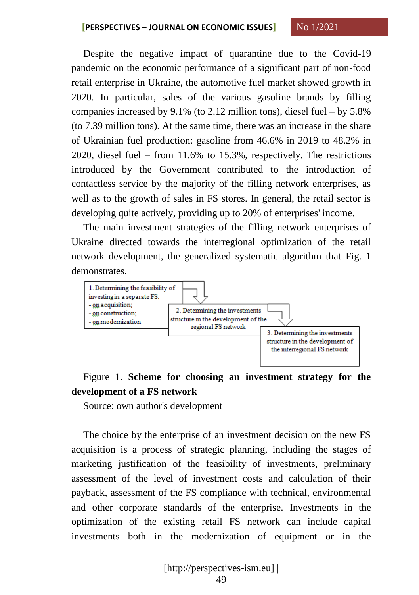Despite the negative impact of quarantine due to the Covid-19 pandemic on the economic performance of a significant part of non-food retail enterprise in Ukraine, the automotive fuel market showed growth in 2020. In particular, sales of the various gasoline brands by filling companies increased by 9.1% (to 2.12 million tons), diesel fuel – by 5.8% (to 7.39 million tons). At the same time, there was an increase in the share of Ukrainian fuel production: gasoline from 46.6% in 2019 to 48.2% in 2020, diesel fuel – from 11.6% to 15.3%, respectively. The restrictions introduced by the Government contributed to the introduction of contactless service by the majority of the filling network enterprises, as well as to the growth of sales in FS stores. In general, the retail sector is developing quite actively, providing up to 20% of enterprises' income.

The main investment strategies of the filling network enterprises of Ukraine directed towards the interregional optimization of the retail network development, the generalized systematic algorithm that Fig. 1 demonstrates.



## Figure 1. **Scheme for choosing an investment strategy for the development of a FS network**

Source: own author's development

The choice by the enterprise of an investment decision on the new FS acquisition is a process of strategic planning, including the stages of marketing justification of the feasibility of investments, preliminary assessment of the level of investment costs and calculation of their payback, assessment of the FS compliance with technical, environmental and other corporate standards of the enterprise. Investments in the optimization of the existing retail FS network can include capital investments both in the modernization of equipment or in the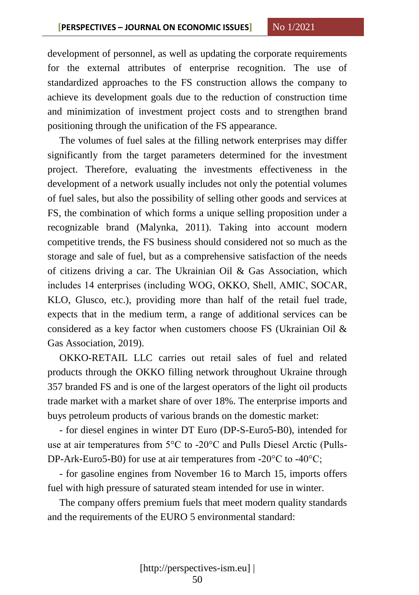development of personnel, as well as updating the corporate requirements for the external attributes of enterprise recognition. The use of standardized approaches to the FS construction allows the company to achieve its development goals due to the reduction of construction time and minimization of investment project costs and to strengthen brand positioning through the unification of the FS appearance.

The volumes of fuel sales at the filling network enterprises may differ significantly from the target parameters determined for the investment project. Therefore, evaluating the investments effectiveness in the development of a network usually includes not only the potential volumes of fuel sales, but also the possibility of selling other goods and services at FS, the combination of which forms a unique selling proposition under a recognizable brand (Malynka, 2011). Taking into account modern competitive trends, the FS business should considered not so much as the storage and sale of fuel, but as a comprehensive satisfaction of the needs of citizens driving a car. The Ukrainian Oil & Gas Association, which includes 14 enterprises (including WOG, OKKO, Shell, АМІС, SOCAR, KLO, Glusco, etc.), providing more than half of the retail fuel trade, expects that in the medium term, a range of additional services can be considered as a key factor when customers choose FS (Ukrainian Oil & Gas Association, 2019).

OKKO-RETAIL LLC carries out retail sales of fuel and related products through the OKKO filling network throughout Ukraine through 357 branded FS and is one of the largest operators of the light oil products trade market with a market share of over 18%. The enterprise imports and buys petroleum products of various brands on the domestic market:

- for diesel engines in winter DT Euro (DP-S-Euro5-B0), intended for use at air temperatures from 5°C to -20°C and Pulls Diesel Arctic (Pulls-DP-Ark-Euro5-B0) for use at air temperatures from -20°С to -40°С;

- for gasoline engines from November 16 to March 15, imports offers fuel with high pressure of saturated steam intended for use in winter.

The company offers premium fuels that meet modern quality standards and the requirements of the EURO 5 environmental standard: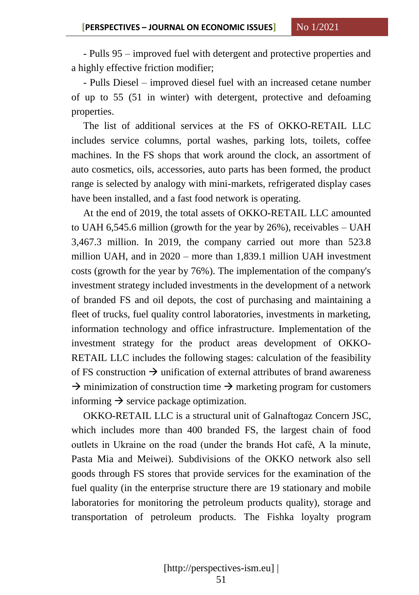- Pulls 95 – improved fuel with detergent and protective properties and a highly effective friction modifier;

- Pulls Diesel – improved diesel fuel with an increased cetane number of up to 55 (51 in winter) with detergent, protective and defoaming properties.

The list of additional services at the FS of OKKO-RETAIL LLC includes service columns, portal washes, parking lots, toilets, coffee machines. In the FS shops that work around the clock, an assortment of auto cosmetics, oils, accessories, auto parts has been formed, the product range is selected by analogy with mini-markets, refrigerated display cases have been installed, and a fast food network is operating.

At the end of 2019, the total assets of OKKO-RETAIL LLC amounted to UAH 6,545.6 million (growth for the year by 26%), receivables – UAH 3,467.3 million. In 2019, the company carried out more than 523.8 million UAH, and in 2020 – more than 1,839.1 million UAH investment costs (growth for the year by 76%). The implementation of the company's investment strategy included investments in the development of a network of branded FS and oil depots, the cost of purchasing and maintaining a fleet of trucks, fuel quality control laboratories, investments in marketing, information technology and office infrastructure. Implementation of the investment strategy for the product areas development of OKKO-RETAIL LLC includes the following stages: calculation of the feasibility of FS construction  $\rightarrow$  unification of external attributes of brand awareness  $\rightarrow$  minimization of construction time  $\rightarrow$  marketing program for customers informing  $\rightarrow$  service package optimization.

OKKO-RETAIL LLC is a structural unit of Galnaftogaz Concern JSC, which includes more than 400 branded FS, the largest chain of food outlets in Ukraine on the road (under the brands Hot café, A la minute, Pasta Mia and Meiwei). Subdivisions of the OKKO network also sell goods through FS stores that provide services for the examination of the fuel quality (in the enterprise structure there are 19 stationary and mobile laboratories for monitoring the petroleum products quality), storage and transportation of petroleum products. The Fishka loyalty program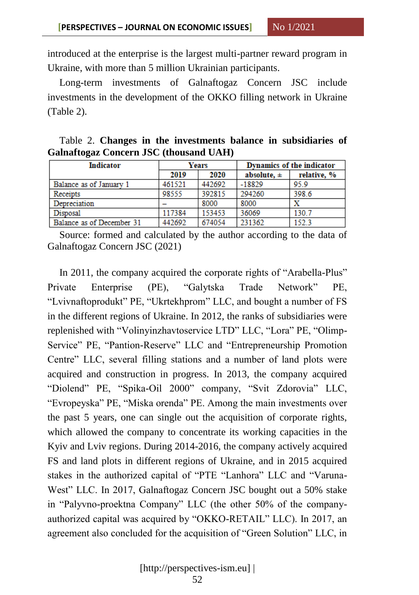introduced at the enterprise is the largest multi-partner reward program in Ukraine, with more than 5 million Ukrainian participants.

Long-term investments of Galnaftogaz Concern JSC include investments in the development of the OKKO filling network in Ukraine (Table 2).

|  |  |                                               |  | Table 2. Changes in the investments balance in subsidiaries of |  |
|--|--|-----------------------------------------------|--|----------------------------------------------------------------|--|
|  |  | <b>Galnaftogaz Concern JSC (thousand UAH)</b> |  |                                                                |  |

| <b>Indicator</b>          |        | Years  | Dynamics of the indicator |             |  |  |
|---------------------------|--------|--------|---------------------------|-------------|--|--|
|                           | 2019   | 2020   | absolute, $\pm$           | relative, % |  |  |
| Balance as of January 1   | 461521 | 442692 | $-18829$                  | 95.9        |  |  |
| Receipts                  | 98555  | 392815 | 294260                    | 398.6       |  |  |
| Depreciation              |        | 8000   | 8000                      | X           |  |  |
| Disposal                  | 117384 | 153453 | 36069                     | 130.7       |  |  |
| Balance as of December 31 | 442692 | 674054 | 231362                    | 152.3       |  |  |

Source: formed and calculated by the author according to the data of Galnaftogaz Concern JSC (2021)

In 2011, the company acquired the corporate rights of "Arabella-Plus" Private Enterprise (PE), "Galytska Trade Network" PE, "Lvivnaftoprodukt" PE, "Ukrtekhprom" LLC, and bought a number of FS in the different regions of Ukraine. In 2012, the ranks of subsidiaries were replenished with "Volinyinzhavtoservice LTD" LLC, "Lora" PE, "Olimp-Service" PE, "Pantion-Reserve" LLC and "Entrepreneurship Promotion Centre" LLC, several filling stations and a number of land plots were acquired and construction in progress. In 2013, the company acquired "Diolend" PE, "Spika-Oil 2000" company, "Svit Zdorovia" LLC, "Evropeyska" PE, "Miska orenda" PE. Among the main investments over the past 5 years, one can single out the acquisition of corporate rights, which allowed the company to concentrate its working capacities in the Kyiv and Lviv regions. During 2014-2016, the company actively acquired FS and land plots in different regions of Ukraine, and in 2015 acquired stakes in the authorized capital of "PTE "Lanhora" LLC and "Varuna-West" LLC. In 2017, Galnaftogaz Concern JSC bought out a 50% stake in "Palyvno-proektna Company" LLC (the other 50% of the companyauthorized capital was acquired by "OKKO-RETAIL" LLC). In 2017, an agreement also concluded for the acquisition of "Green Solution" LLC, in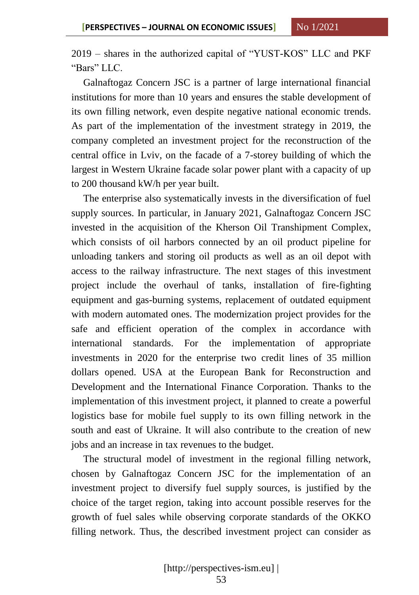2019 – shares in the authorized capital of "YUST-KOS" LLC and PKF "Bars" LLC.

Galnaftogaz Concern JSC is a partner of large international financial institutions for more than 10 years and ensures the stable development of its own filling network, even despite negative national economic trends. As part of the implementation of the investment strategy in 2019, the company completed an investment project for the reconstruction of the central office in Lviv, on the facade of a 7-storey building of which the largest in Western Ukraine facade solar power plant with a capacity of up to 200 thousand kW/h per year built.

The enterprise also systematically invests in the diversification of fuel supply sources. In particular, in January 2021, Galnaftogaz Concern JSC invested in the acquisition of the Kherson Oil Transhipment Complex, which consists of oil harbors connected by an oil product pipeline for unloading tankers and storing oil products as well as an oil depot with access to the railway infrastructure. The next stages of this investment project include the overhaul of tanks, installation of fire-fighting equipment and gas-burning systems, replacement of outdated equipment with modern automated ones. The modernization project provides for the safe and efficient operation of the complex in accordance with international standards. For the implementation of appropriate investments in 2020 for the enterprise two credit lines of 35 million dollars opened. USA at the European Bank for Reconstruction and Development and the International Finance Corporation. Thanks to the implementation of this investment project, it planned to create a powerful logistics base for mobile fuel supply to its own filling network in the south and east of Ukraine. It will also contribute to the creation of new jobs and an increase in tax revenues to the budget.

The structural model of investment in the regional filling network, chosen by Galnaftogaz Concern JSC for the implementation of an investment project to diversify fuel supply sources, is justified by the choice of the target region, taking into account possible reserves for the growth of fuel sales while observing corporate standards of the OKKO filling network. Thus, the described investment project can consider as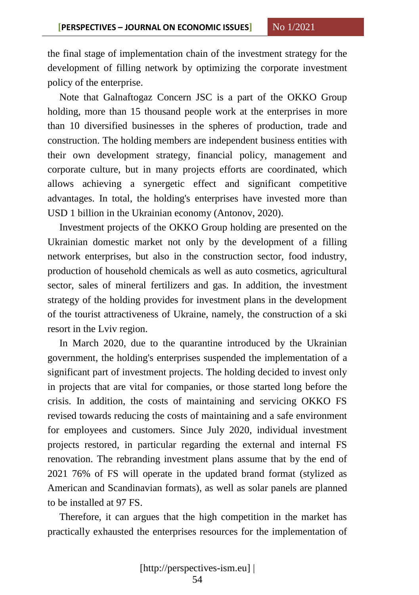the final stage of implementation chain of the investment strategy for the development of filling network by optimizing the corporate investment policy of the enterprise.

Note that Galnaftogaz Concern JSC is a part of the OKKO Group holding, more than 15 thousand people work at the enterprises in more than 10 diversified businesses in the spheres of production, trade and construction. The holding members are independent business entities with their own development strategy, financial policy, management and corporate culture, but in many projects efforts are coordinated, which allows achieving a synergetic effect and significant competitive advantages. In total, the holding's enterprises have invested more than USD 1 billion in the Ukrainian economy (Antonov, 2020).

Investment projects of the OKKO Group holding are presented on the Ukrainian domestic market not only by the development of a filling network enterprises, but also in the construction sector, food industry, production of household chemicals as well as auto cosmetics, agricultural sector, sales of mineral fertilizers and gas. In addition, the investment strategy of the holding provides for investment plans in the development of the tourist attractiveness of Ukraine, namely, the construction of a ski resort in the Lviv region.

In March 2020, due to the quarantine introduced by the Ukrainian government, the holding's enterprises suspended the implementation of a significant part of investment projects. The holding decided to invest only in projects that are vital for companies, or those started long before the crisis. In addition, the costs of maintaining and servicing OKKO FS revised towards reducing the costs of maintaining and a safe environment for employees and customers. Since July 2020, individual investment projects restored, in particular regarding the external and internal FS renovation. The rebranding investment plans assume that by the end of 2021 76% of FS will operate in the updated brand format (stylized as American and Scandinavian formats), as well as solar panels are planned to be installed at 97 FS.

Therefore, it can argues that the high competition in the market has practically exhausted the enterprises resources for the implementation of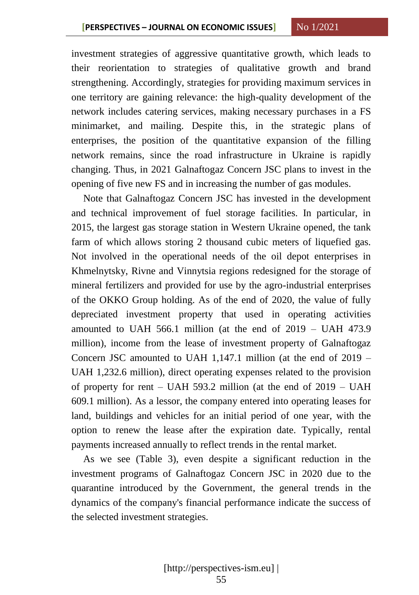investment strategies of aggressive quantitative growth, which leads to their reorientation to strategies of qualitative growth and brand strengthening. Accordingly, strategies for providing maximum services in one territory are gaining relevance: the high-quality development of the network includes catering services, making necessary purchases in a FS minimarket, and mailing. Despite this, in the strategic plans of enterprises, the position of the quantitative expansion of the filling network remains, since the road infrastructure in Ukraine is rapidly changing. Thus, in 2021 Galnaftogaz Concern JSC plans to invest in the opening of five new FS and in increasing the number of gas modules.

Note that Galnaftogaz Concern JSC has invested in the development and technical improvement of fuel storage facilities. In particular, in 2015, the largest gas storage station in Western Ukraine opened, the tank farm of which allows storing 2 thousand cubic meters of liquefied gas. Not involved in the operational needs of the oil depot enterprises in Khmelnytsky, Rivne and Vinnytsia regions redesigned for the storage of mineral fertilizers and provided for use by the agro-industrial enterprises of the OKKO Group holding. As of the end of 2020, the value of fully depreciated investment property that used in operating activities amounted to UAH 566.1 million (at the end of  $2019 - UAH$  473.9 million), income from the lease of investment property of Galnaftogaz Concern JSC amounted to UAH 1,147.1 million (at the end of 2019 – UAH 1,232.6 million), direct operating expenses related to the provision of property for rent – UAH 593.2 million (at the end of 2019 – UAH 609.1 million). As a lessor, the company entered into operating leases for land, buildings and vehicles for an initial period of one year, with the option to renew the lease after the expiration date. Typically, rental payments increased annually to reflect trends in the rental market.

As we see (Table 3), even despite a significant reduction in the investment programs of Galnaftogaz Concern JSC in 2020 due to the quarantine introduced by the Government, the general trends in the dynamics of the company's financial performance indicate the success of the selected investment strategies.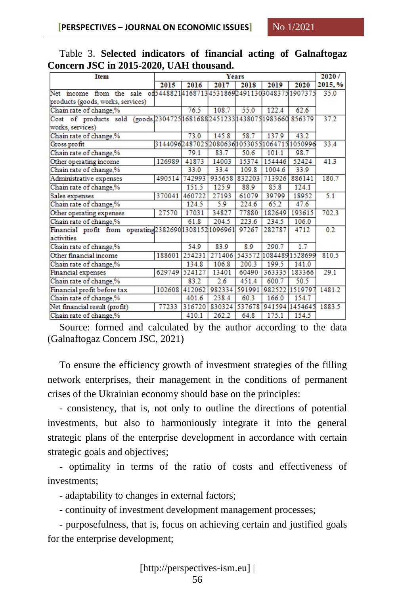| $\sim$ $\cdots$ $\sim$ $\cdots$<br>Years                                  |                  |        |        |        |         |                                            |         |  |
|---------------------------------------------------------------------------|------------------|--------|--------|--------|---------|--------------------------------------------|---------|--|
| <b>Item</b>                                                               |                  | 2020/  |        |        |         |                                            |         |  |
|                                                                           | 2015             | 2016   | 2017   | 2018   | 2019    | 2020                                       | 2015, % |  |
| from the sale of 544882141687134531869249113030483751907375<br>Net income |                  |        |        |        |         |                                            | 35.0    |  |
| products (goods, works, services)                                         |                  |        |        |        |         |                                            |         |  |
| Chain rate of change,%                                                    | 76.5             | 108.7  | 55.0   | 122.4  | 62.6    |                                            |         |  |
| Cost of products sold (goods, 2304725 1681688 2451233 1438075 1983660     |                  |        |        |        | 856379  | 37.2                                       |         |  |
| works, services)                                                          |                  |        |        |        |         |                                            |         |  |
| Chain rate of change,%                                                    | 73.0             | 145.8  | 58.7   | 137.9  | 43.2    |                                            |         |  |
| Gross profit                                                              |                  |        |        |        |         | 314409624870252080636105305510647151050996 | 33.4    |  |
| Chain rate of change,%                                                    |                  | 79.1   | 83.7   | 50.6   | 101.1   | 98.7                                       |         |  |
| Other operating income                                                    | 126989           | 41873  | 14003  | 15374  | 154446  | 52424                                      | 41.3    |  |
| Chain rate of change,%                                                    |                  | 33.0   | 33.4   | 109.8  | 1004.6  | 33.9                                       |         |  |
| Administrative expenses                                                   | 490514           | 742993 | 935658 | 832203 | 713926  | 886141                                     | 180.7   |  |
| Chain rate of change,%                                                    | 151.5            | 125.9  | 88.9   | 85.8   | 124.1   |                                            |         |  |
| Sales expenses                                                            | 370041           | 460722 | 27193  | 61079  | 39799   | 18952                                      | 5.1     |  |
| Chain rate of change,%                                                    | 124.5            | 5.9    | 224.6  | 65.2   | 47.6    |                                            |         |  |
| Other operating expenses                                                  | 17031            | 34827  | 77880  | 182649 | 193615  | 702.3                                      |         |  |
| Chain rate of change,%                                                    |                  | 61.8   | 204.5  | 223.6  | 234.5   | 106.0                                      |         |  |
| Financial profit from operating 238269013081521096961                     |                  |        |        | 97267  | 282787  | 4712                                       | 0.2     |  |
| activities                                                                |                  |        |        |        |         |                                            |         |  |
| Chain rate of change,%                                                    | 54.9             | 83.9   | 8.9    | 290.7  | 1.7     |                                            |         |  |
| Other financial income                                                    | 188601           | 254231 | 271406 | 543572 |         | 10844891528699                             | 810.5   |  |
| Chain rate of change,%                                                    | 134.8            | 106.8  | 200.3  | 199.5  | 141.0   |                                            |         |  |
| Financial expenses                                                        | 524127           | 13401  | 60490  | 363335 | 183366  | 29.1                                       |         |  |
| Chain rate of change,%                                                    | 83.2             | 2.6    | 451.4  | 600.7  | 50.5    |                                            |         |  |
| Financial profit before tax                                               | 412062<br>102608 | 982334 | 591991 | 982522 | 1519797 | 1481.2                                     |         |  |
| Chain rate of change,%                                                    | 401.6            | 238.4  | 60.3   | 166.0  | 154.7   |                                            |         |  |
| Net financial result (profit)                                             | 316720           | 830324 | 537678 | 941594 | 1454645 | 1883.5                                     |         |  |
| Chain rate of change,%                                                    | 410.1            | 262.2  | 64.8   | 175.1  | 154.5   |                                            |         |  |

Table 3. **Selected indicators of financial acting of Galnaftogaz Concern JSC in 2015-2020, UAH thousand.**

Source: formed and calculated by the author according to the data (Galnaftogaz Concern JSC, 2021)

To ensure the efficiency growth of investment strategies of the filling network enterprises, their management in the conditions of permanent crises of the Ukrainian economy should base on the principles:

- consistency, that is, not only to outline the directions of potential investments, but also to harmoniously integrate it into the general strategic plans of the enterprise development in accordance with certain strategic goals and objectives;

- optimality in terms of the ratio of costs and effectiveness of investments;

- adaptability to changes in external factors;

- continuity of investment development management processes;

- purposefulness, that is, focus on achieving certain and justified goals for the enterprise development;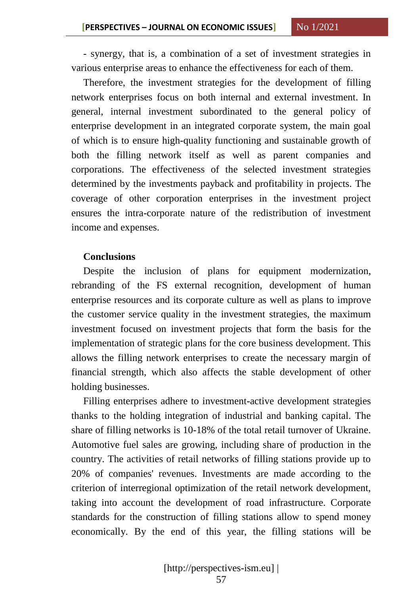- synergy, that is, a combination of a set of investment strategies in various enterprise areas to enhance the effectiveness for each of them.

Therefore, the investment strategies for the development of filling network enterprises focus on both internal and external investment. In general, internal investment subordinated to the general policy of enterprise development in an integrated corporate system, the main goal of which is to ensure high-quality functioning and sustainable growth of both the filling network itself as well as parent companies and corporations. The effectiveness of the selected investment strategies determined by the investments payback and profitability in projects. The coverage of other corporation enterprises in the investment project ensures the intra-corporate nature of the redistribution of investment income and expenses.

#### **Conclusions**

Despite the inclusion of plans for equipment modernization, rebranding of the FS external recognition, development of human enterprise resources and its corporate culture as well as plans to improve the customer service quality in the investment strategies, the maximum investment focused on investment projects that form the basis for the implementation of strategic plans for the core business development. This allows the filling network enterprises to create the necessary margin of financial strength, which also affects the stable development of other holding businesses.

Filling enterprises adhere to investment-active development strategies thanks to the holding integration of industrial and banking capital. The share of filling networks is 10-18% of the total retail turnover of Ukraine. Automotive fuel sales are growing, including share of production in the country. The activities of retail networks of filling stations provide up to 20% of companies' revenues. Investments are made according to the criterion of interregional optimization of the retail network development, taking into account the development of road infrastructure. Corporate standards for the construction of filling stations allow to spend money economically. By the end of this year, the filling stations will be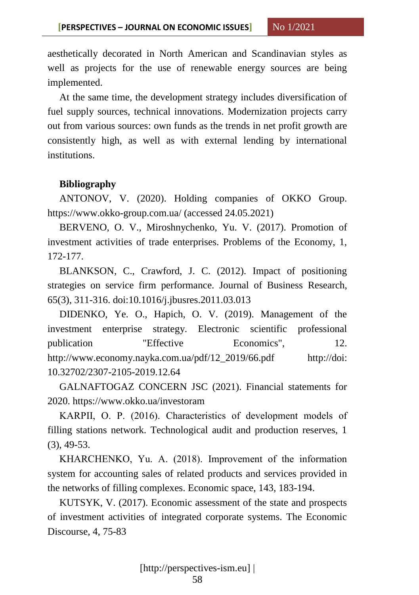aesthetically decorated in North American and Scandinavian styles as well as projects for the use of renewable energy sources are being implemented.

At the same time, the development strategy includes diversification of fuel supply sources, technical innovations. Modernization projects carry out from various sources: own funds as the trends in net profit growth are consistently high, as well as with external lending by international institutions.

### **Bibliography**

ANTONOV, V. (2020). Holding companies of OKKO Group. https://www.okko-group.com.ua/ (accessed 24.05.2021)

BERVENO, O. V., Miroshnychenko, Yu. V. (2017). Promotion of investment activities of trade enterprises. Problems of the Economy, 1, 172-177.

BLANKSON, C., Crawford, J. C. (2012). Impact of positioning strategies on service firm performance. Journal of Business Research, 65(3), 311-316. doi:10.1016/j.jbusres.2011.03.013

DIDENKO, Ye. O., Hapich, O. V. (2019). Management of the investment enterprise strategy. Electronic scientific professional publication "Effective Economics", 12. http://www.economy.nayka.com.ua/pdf/12\_2019/66.pdf http://doi: 10.32702/2307-2105-2019.12.64

GALNAFTOGAZ CONCERN JSC (2021). Financial statements for 2020. https://www.okko.ua/investoram

KARPII, О. P. (2016). Characteristics of development models of filling stations network. Technological audit and production reserves, 1 (3), 49-53.

KHARCHENKO, Yu. А. (2018). Improvement of the information system for accounting sales of related products and services provided in the networks of filling complexes. Economic space, 143, 183-194.

KUTSYK, V. (2017). Economic assessment of the state and prospects of investment activities of integrated corporate systems. The Economic Discourse, 4, 75-83